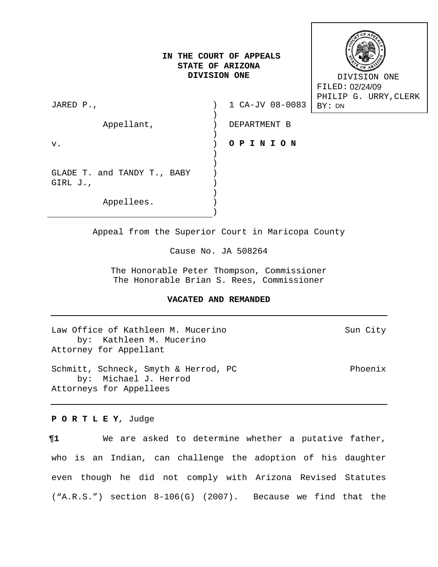# **IN THE COURT OF APPEALS STATE OF ARIZONA DIVISION ONE**



 DIVISION ONE FILED: 02/24/09 PHILIP G. URRY,CLERK FILED: 02/24/09<br>PHILIP G. URF<br>BY: DN

| JARED P.,                   | 1 CA-JV 08-0083 |
|-----------------------------|-----------------|
| Appellant,                  | DEPARTMENT B    |
| v.                          | OPINION         |
|                             |                 |
| GLADE T. and TANDY T., BABY |                 |
| GIRL J.,                    |                 |
| Appellees.                  |                 |
|                             |                 |

Appeal from the Superior Court in Maricopa County

Cause No. JA 508264

The Honorable Peter Thompson, Commissioner The Honorable Brian S. Rees, Commissioner

# **VACATED AND REMANDED**

Law Office of Kathleen M. Mucerino Sun City by: Kathleen M. Mucerino Attorney for Appellant Schmitt, Schneck, Smyth & Herrod, PC enterpresent resolutions Phoenix by: Michael J. Herrod Attorneys for Appellees

**P O R T L E Y**, Judge

**¶1** We are asked to determine whether a putative father, who is an Indian, can challenge the adoption of his daughter even though he did not comply with Arizona Revised Statutes ("A.R.S.") section 8-106(G) (2007). Because we find that the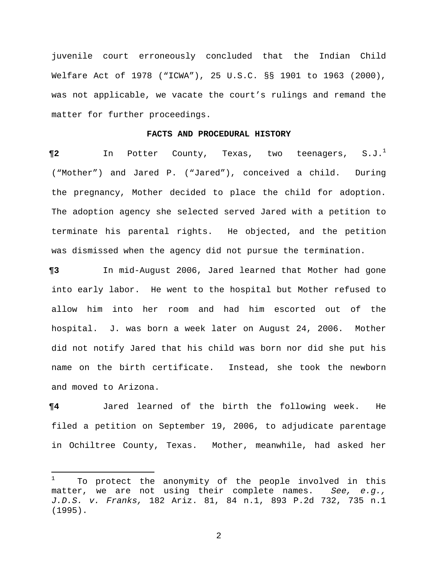juvenile court erroneously concluded that the Indian Child Welfare Act of 1978 ("ICWA"), 25 U.S.C. §§ 1901 to 1963 (2000), was not applicable, we vacate the court's rulings and remand the matter for further proceedings.

### **FACTS AND PROCEDURAL HISTORY**

**¶2** In Potter County, Texas, two teenagers, S.J.1 ("Mother") and Jared P. ("Jared"), conceived a child. During the pregnancy, Mother decided to place the child for adoption. The adoption agency she selected served Jared with a petition to terminate his parental rights. He objected, and the petition was dismissed when the agency did not pursue the termination.

**¶3** In mid-August 2006, Jared learned that Mother had gone into early labor. He went to the hospital but Mother refused to allow him into her room and had him escorted out of the hospital. J. was born a week later on August 24, 2006. Mother did not notify Jared that his child was born nor did she put his name on the birth certificate. Instead, she took the newborn and moved to Arizona.

**¶4** Jared learned of the birth the following week. He filed a petition on September 19, 2006, to adjudicate parentage in Ochiltree County, Texas. Mother, meanwhile, had asked her

 $\overline{\phantom{0}}$ 

<sup>1</sup> To protect the anonymity of the people involved in this matter, we are not using their complete names. *See, e.g., J.D.S. v. Franks,* 182 Ariz. 81, 84 n.1, 893 P.2d 732, 735 n.1 (1995).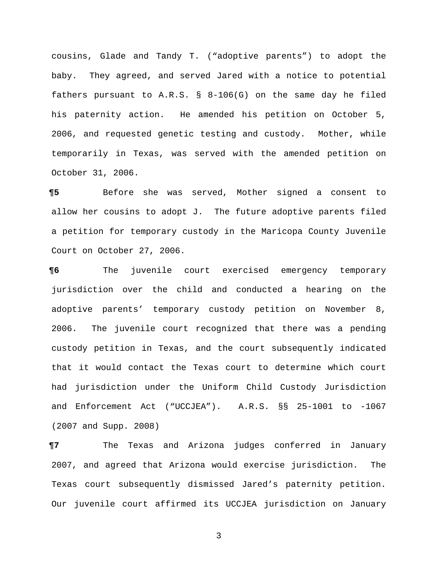cousins, Glade and Tandy T. ("adoptive parents") to adopt the baby. They agreed, and served Jared with a notice to potential fathers pursuant to  $A.R.S. \S 8-106(G)$  on the same day he filed his paternity action. He amended his petition on October 5, 2006, and requested genetic testing and custody.Mother, while temporarily in Texas, was served with the amended petition on October 31, 2006.

**¶5** Before she was served, Mother signed a consent to allow her cousins to adopt J.The future adoptive parents filed a petition for temporary custody in the Maricopa County Juvenile Court on October 27, 2006.

**¶6** The juvenile court exercised emergency temporary jurisdiction over the child and conducted a hearing on the adoptive parents' temporary custody petition on November 8, 2006. The juvenile court recognized that there was a pending custody petition in Texas, and the court subsequently indicated that it would contact the Texas court to determine which court had jurisdiction under the Uniform Child Custody Jurisdiction and Enforcement Act ("UCCJEA"). A.R.S. §§ 25-1001 to -1067 (2007 and Supp. 2008)

**¶7** The Texas and Arizona judges conferred in January 2007, and agreed that Arizona would exercise jurisdiction. The Texas court subsequently dismissed Jared's paternity petition. Our juvenile court affirmed its UCCJEA jurisdiction on January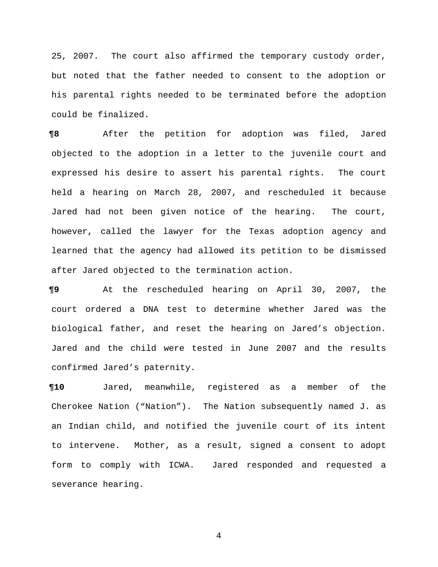25, 2007. The court also affirmed the temporary custody order, but noted that the father needed to consent to the adoption or his parental rights needed to be terminated before the adoption could be finalized.

**¶8** After the petition for adoption was filed, Jared objected to the adoption in a letter to the juvenile court and expressed his desire to assert his parental rights. The court held a hearing on March 28, 2007, and rescheduled it because Jared had not been given notice of the hearing. The court, however, called the lawyer for the Texas adoption agency and learned that the agency had allowed its petition to be dismissed after Jared objected to the termination action.

**¶9** At the rescheduled hearing on April 30, 2007, the court ordered a DNA test to determine whether Jared was the biological father, and reset the hearing on Jared's objection. Jared and the child were tested in June 2007 and the results confirmed Jared's paternity.

**¶10** Jared, meanwhile, registered as a member of the Cherokee Nation ("Nation"). The Nation subsequently named J. as an Indian child, and notified the juvenile court of its intent to intervene.Mother, as a result, signed a consent to adopt form to comply with ICWA. Jared responded and requested a severance hearing.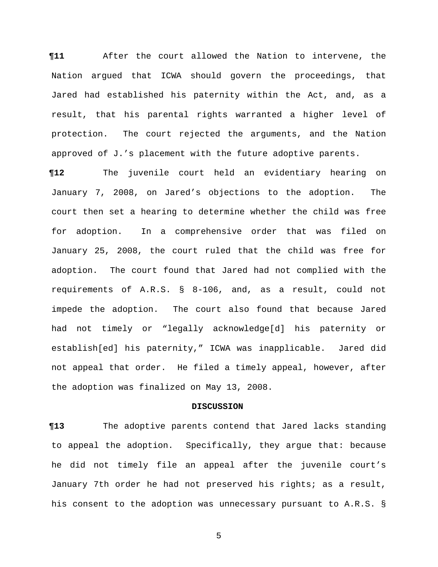**¶11** After the court allowed the Nation to intervene, the Nation argued that ICWA should govern the proceedings, that Jared had established his paternity within the Act, and, as a result, that his parental rights warranted a higher level of protection. The court rejected the arguments, and the Nation approved of J.'s placement with the future adoptive parents.

**¶12** The juvenile court held an evidentiary hearing on January 7, 2008, on Jared's objections to the adoption. The court then set a hearing to determine whether the child was free for adoption. In a comprehensive order that was filed on January 25, 2008, the court ruled that the child was free for adoption. The court found that Jared had not complied with the requirements of A.R.S. § 8-106, and, as a result, could not impede the adoption. The court also found that because Jared had not timely or "legally acknowledge[d] his paternity or establish[ed] his paternity," ICWA was inapplicable. Jared did not appeal that order.He filed a timely appeal, however, after the adoption was finalized on May 13, 2008.

#### **DISCUSSION**

**¶13** The adoptive parents contend that Jared lacks standing to appeal the adoption. Specifically, they argue that: because he did not timely file an appeal after the juvenile court's January 7th order he had not preserved his rights; as a result, his consent to the adoption was unnecessary pursuant to A.R.S. §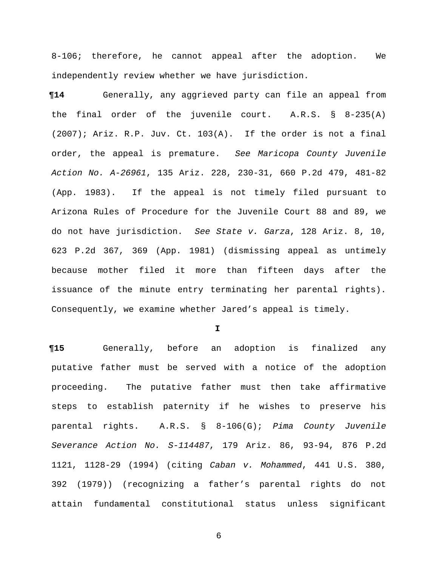8-106; therefore, he cannot appeal after the adoption. We independently review whether we have jurisdiction.

**¶14** Generally, any aggrieved party can file an appeal from the final order of the juvenile court. A.R.S. § 8-235(A) (2007); Ariz. R.P. Juv. Ct. 103(A). If the order is not a final order, the appeal is premature. *See Maricopa County Juvenile Action No. A-26961*, 135 Ariz. 228, 230-31, 660 P.2d 479, 481-82 (App. 1983). If the appeal is not timely filed pursuant to Arizona Rules of Procedure for the Juvenile Court 88 and 89, we do not have jurisdiction. *See State v. Garza*, 128 Ariz. 8, 10, 623 P.2d 367, 369 (App. 1981) (dismissing appeal as untimely because mother filed it more than fifteen days after the issuance of the minute entry terminating her parental rights). Consequently, we examine whether Jared's appeal is timely.

**I**

**¶15** Generally, before an adoption is finalized any putative father must be served with a notice of the adoption proceeding. The putative father must then take affirmative steps to establish paternity if he wishes to preserve his parental rights. A.R.S. § 8-106(G); *Pima County Juvenile Severance Action No. S-114487*, 179 Ariz. 86, 93-94, 876 P.2d 1121, 1128-29 (1994) (citing *Caban v. Mohammed*, 441 U.S. 380, 392 (1979)) (recognizing a father's parental rights do not attain fundamental constitutional status unless significant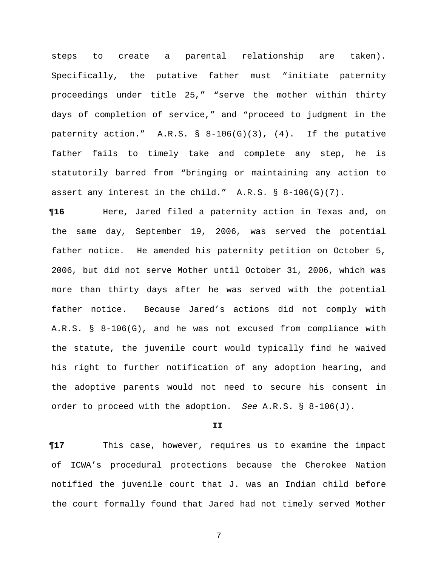steps to create a parental relationship are taken). Specifically, the putative father must "initiate paternity proceedings under title 25," "serve the mother within thirty days of completion of service," and "proceed to judgment in the paternity action." A.R.S.  $\S$  8-106(G)(3), (4). If the putative father fails to timely take and complete any step, he is statutorily barred from "bringing or maintaining any action to assert any interest in the child." A.R.S. § 8-106(G)(7).

**¶16** Here, Jared filed a paternity action in Texas and, on the same day, September 19, 2006, was served the potential father notice. He amended his paternity petition on October 5, 2006, but did not serve Mother until October 31, 2006, which was more than thirty days after he was served with the potential father notice. Because Jared's actions did not comply with A.R.S. § 8-106(G), and he was not excused from compliance with the statute, the juvenile court would typically find he waived his right to further notification of any adoption hearing, and the adoptive parents would not need to secure his consent in order to proceed with the adoption. *See* A.R.S. § 8-106(J).

**II**

**¶17** This case, however, requires us to examine the impact of ICWA's procedural protections because the Cherokee Nation notified the juvenile court that J. was an Indian child before the court formally found that Jared had not timely served Mother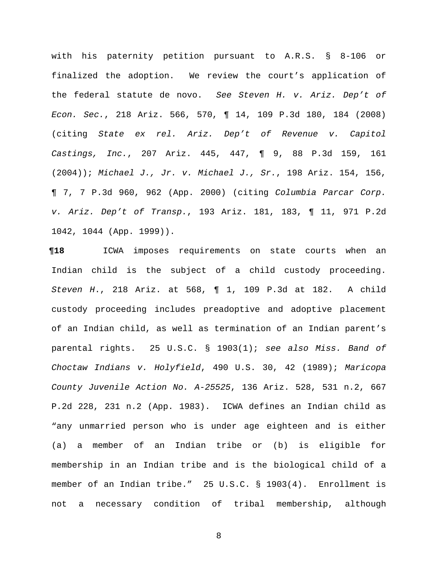with his paternity petition pursuant to A.R.S. § 8-106 or finalized the adoption. We review the court's application of the federal statute de novo. *See Steven H. v. Ariz. Dep't of Econ. Sec.*, 218 Ariz. 566, 570, ¶ 14, 109 P.3d 180, 184 (2008) (citing *State ex rel. Ariz. Dep't of Revenue v. Capitol Castings, Inc.*, 207 Ariz. 445, 447, ¶ 9, 88 P.3d 159, 161 (2004)); *Michael J., Jr. v. Michael J., Sr.*, 198 Ariz. 154, 156, ¶ 7, 7 P.3d 960, 962 (App. 2000) (citing *Columbia Parcar Corp. v. Ariz. Dep't of Transp.*, 193 Ariz. 181, 183, ¶ 11, 971 P.2d 1042, 1044 (App. 1999)).

**¶18** ICWA imposes requirements on state courts when an Indian child is the subject of a child custody proceeding. *Steven H*., 218 Ariz. at 568, ¶ 1, 109 P.3d at 182. A child custody proceeding includes preadoptive and adoptive placement of an Indian child, as well as termination of an Indian parent's parental rights. 25 U.S.C. § 1903(1); *see also Miss. Band of Choctaw Indians v. Holyfield*, 490 U.S. 30, 42 (1989); *Maricopa County Juvenile Action No. A-25525*, 136 Ariz. 528, 531 n.2, 667 P.2d 228, 231 n.2 (App. 1983). ICWA defines an Indian child as "any unmarried person who is under age eighteen and is either (a) a member of an Indian tribe or (b) is eligible for membership in an Indian tribe and is the biological child of a member of an Indian tribe." 25 U.S.C. § 1903(4). Enrollment is not a necessary condition of tribal membership, although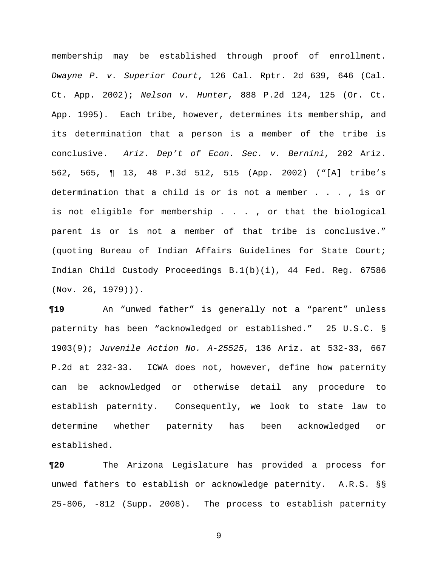membership may be established through proof of enrollment. *Dwayne P. v. Superior Court*, 126 Cal. Rptr. 2d 639, 646 (Cal. Ct. App. 2002); *Nelson v. Hunter*, 888 P.2d 124, 125 (Or. Ct. App. 1995). Each tribe, however, determines its membership, and its determination that a person is a member of the tribe is conclusive. *Ariz. Dep't of Econ. Sec. v. Bernini*, 202 Ariz. 562, 565, ¶ 13, 48 P.3d 512, 515 (App. 2002) ("[A] tribe's determination that a child is or is not a member . . . , is or is not eligible for membership . . . , or that the biological parent is or is not a member of that tribe is conclusive." (quoting Bureau of Indian Affairs Guidelines for State Court; Indian Child Custody Proceedings B.1(b)(i), 44 Fed. Reg. 67586 (Nov. 26, 1979))).

**¶19** An "unwed father" is generally not a "parent" unless paternity has been "acknowledged or established." 25 U.S.C. § 1903(9); *Juvenile Action No. A-25525*, 136 Ariz. at 532-33, 667 P.2d at 232-33. ICWA does not, however, define how paternity can be acknowledged or otherwise detail any procedure to establish paternity. Consequently, we look to state law to determine whether paternity has been acknowledged or established.

**¶20** The Arizona Legislature has provided a process for unwed fathers to establish or acknowledge paternity. A.R.S. §§ 25-806, -812 (Supp. 2008). The process to establish paternity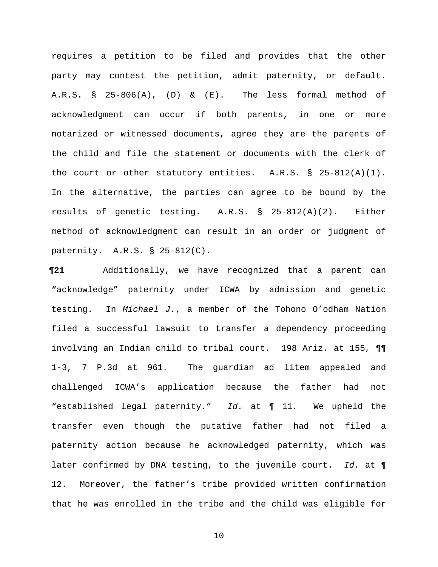requires a petition to be filed and provides that the other party may contest the petition, admit paternity, or default. A.R.S. § 25-806(A), (D) & (E). The less formal method of acknowledgment can occur if both parents, in one or more notarized or witnessed documents, agree they are the parents of the child and file the statement or documents with the clerk of the court or other statutory entities. A.R.S. § 25-812(A)(1). In the alternative, the parties can agree to be bound by the results of genetic testing. A.R.S. § 25-812(A)(2). Either method of acknowledgment can result in an order or judgment of paternity. A.R.S. § 25-812(C).

**¶21** Additionally, we have recognized that a parent can "acknowledge" paternity under ICWA by admission and genetic testing. In *Michael J.*, a member of the Tohono O'odham Nation filed a successful lawsuit to transfer a dependency proceeding involving an Indian child to tribal court. 198 Ariz. at 155, ¶¶ 1-3, 7 P.3d at 961*.* The guardian ad litem appealed and challenged ICWA's application because the father had not "established legal paternity." *Id.* at ¶ 11*.* We upheld the transfer even though the putative father had not filed a paternity action because he acknowledged paternity, which was later confirmed by DNA testing, to the juvenile court. *Id.* at ¶ 12. Moreover, the father's tribe provided written confirmation that he was enrolled in the tribe and the child was eligible for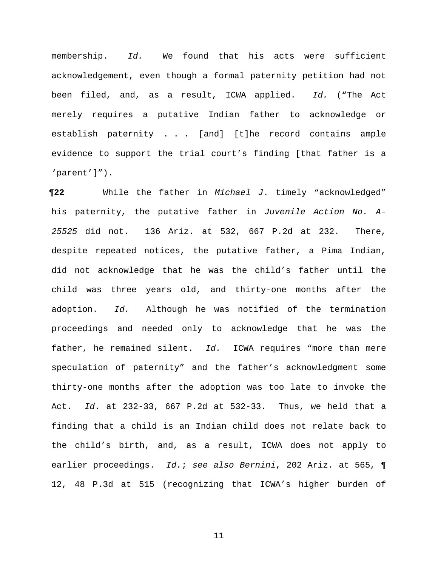membership. *Id.* We found that his acts were sufficient acknowledgement, even though a formal paternity petition had not been filed, and, as a result, ICWA applied. *Id.* ("The Act merely requires a putative Indian father to acknowledge or establish paternity . . . [and] [t]he record contains ample evidence to support the trial court's finding [that father is a 'parent']").

**¶22** While the father in *Michael J*. timely "acknowledged" his paternity, the putative father in *Juvenile Action No. A-25525* did not. 136 Ariz. at 532, 667 P.2d at 232. There, despite repeated notices, the putative father, a Pima Indian, did not acknowledge that he was the child's father until the child was three years old, and thirty-one months after the adoption. *Id.* Although he was notified of the termination proceedings and needed only to acknowledge that he was the father, he remained silent. *Id.* ICWA requires "more than mere speculation of paternity" and the father's acknowledgment some thirty-one months after the adoption was too late to invoke the Act. *Id*. at 232-33, 667 P.2d at 532-33. Thus, we held that a finding that a child is an Indian child does not relate back to the child's birth, and, as a result, ICWA does not apply to earlier proceedings. *Id.*; *see also Bernini*, 202 Ariz. at 565, ¶ 12, 48 P.3d at 515 (recognizing that ICWA's higher burden of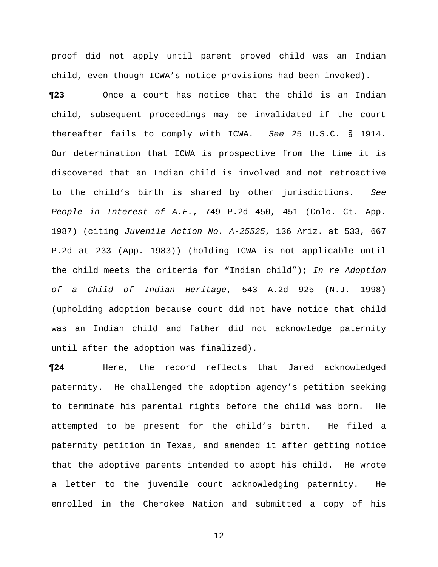proof did not apply until parent proved child was an Indian child, even though ICWA's notice provisions had been invoked).

**¶23** Once a court has notice that the child is an Indian child, subsequent proceedings may be invalidated if the court thereafter fails to comply with ICWA. *See* 25 U.S.C. § 1914. Our determination that ICWA is prospective from the time it is discovered that an Indian child is involved and not retroactive to the child's birth is shared by other jurisdictions. *See People in Interest of A.E.*, 749 P.2d 450, 451 (Colo. Ct. App. 1987) (citing *Juvenile Action No. A-25525*, 136 Ariz. at 533, 667 P.2d at 233 (App. 1983)) (holding ICWA is not applicable until the child meets the criteria for "Indian child"); *In re Adoption of a Child of Indian Heritage*, 543 A.2d 925 (N.J. 1998) (upholding adoption because court did not have notice that child was an Indian child and father did not acknowledge paternity until after the adoption was finalized).

**¶24** Here, the record reflects that Jared acknowledged paternity. He challenged the adoption agency's petition seeking to terminate his parental rights before the child was born. He attempted to be present for the child's birth. He filed a paternity petition in Texas, and amended it after getting notice that the adoptive parents intended to adopt his child. He wrote a letter to the juvenile court acknowledging paternity. He enrolled in the Cherokee Nation and submitted a copy of his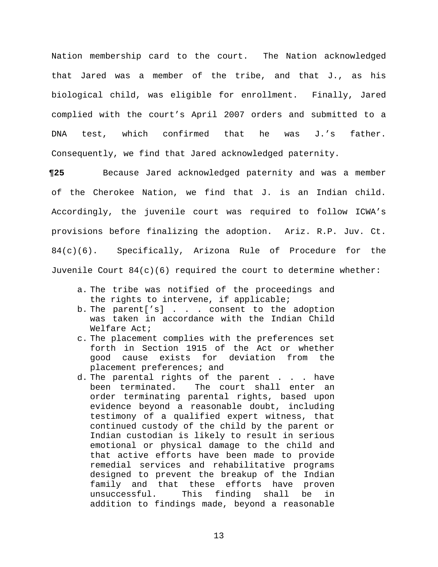Nation membership card to the court. The Nation acknowledged that Jared was a member of the tribe, and that J., as his biological child, was eligible for enrollment. Finally, Jared complied with the court's April 2007 orders and submitted to a DNA test, which confirmed that he was J.'s father. Consequently, we find that Jared acknowledged paternity.

**¶25** Because Jared acknowledged paternity and was a member of the Cherokee Nation, we find that J. is an Indian child. Accordingly, the juvenile court was required to follow ICWA's provisions before finalizing the adoption. Ariz. R.P. Juv. Ct. 84(c)(6). Specifically, Arizona Rule of Procedure for the Juvenile Court  $84(c)(6)$  required the court to determine whether:

- a. The tribe was notified of the proceedings and the rights to intervene, if applicable;
- b. The parent['s] . . . consent to the adoption was taken in accordance with the Indian Child Welfare Act;
- c. The placement complies with the preferences set forth in Section 1915 of the Act or whether good cause exists for deviation from the placement preferences; and
- d. The parental rights of the parent . . . have been terminated. The court shall enter an order terminating parental rights, based upon evidence beyond a reasonable doubt, including testimony of a qualified expert witness, that continued custody of the child by the parent or Indian custodian is likely to result in serious emotional or physical damage to the child and that active efforts have been made to provide remedial services and rehabilitative programs designed to prevent the breakup of the Indian family and that these efforts have proven unsuccessful. This finding shall be in addition to findings made, beyond a reasonable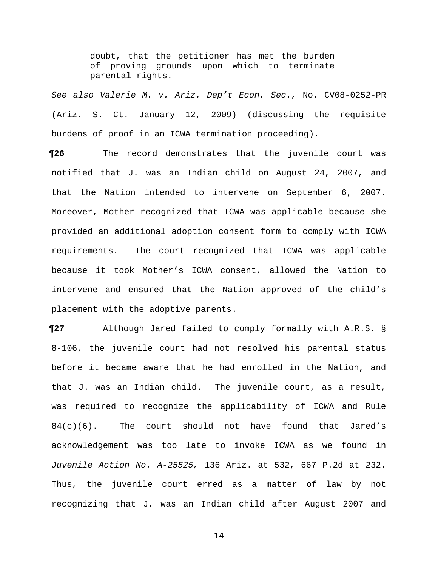doubt, that the petitioner has met the burden of proving grounds upon which to terminate parental rights.

*See also Valerie M. v. Ariz. Dep't Econ. Sec.,* No. CV08-0252-PR (Ariz. S. Ct. January 12, 2009) (discussing the requisite burdens of proof in an ICWA termination proceeding).

**¶26** The record demonstrates that the juvenile court was notified that J. was an Indian child on August 24, 2007, and that the Nation intended to intervene on September 6, 2007. Moreover, Mother recognized that ICWA was applicable because she provided an additional adoption consent form to comply with ICWA requirements. The court recognized that ICWA was applicable because it took Mother's ICWA consent, allowed the Nation to intervene and ensured that the Nation approved of the child's placement with the adoptive parents.

**¶27** Although Jared failed to comply formally with A.R.S. § 8-106, the juvenile court had not resolved his parental status before it became aware that he had enrolled in the Nation, and that J. was an Indian child. The juvenile court, as a result, was required to recognize the applicability of ICWA and Rule  $84(c)(6)$ . The court should not have found that Jared's acknowledgement was too late to invoke ICWA as we found in *Juvenile Action No. A-25525,* 136 Ariz. at 532, 667 P.2d at 232. Thus, the juvenile court erred as a matter of law by not recognizing that J. was an Indian child after August 2007 and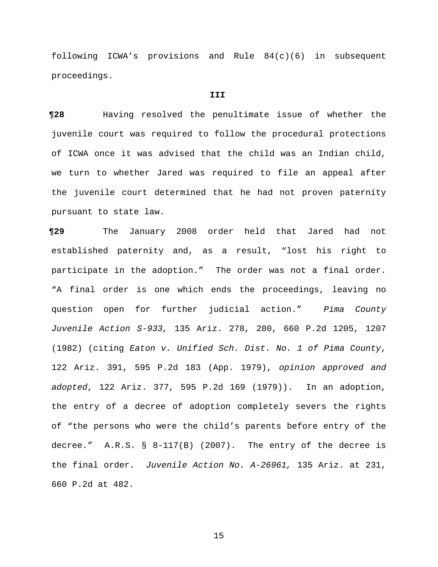following ICWA's provisions and Rule 84(c)(6) in subsequent proceedings.

### **III**

**¶28** Having resolved the penultimate issue of whether the juvenile court was required to follow the procedural protections of ICWA once it was advised that the child was an Indian child, we turn to whether Jared was required to file an appeal after the juvenile court determined that he had not proven paternity pursuant to state law.

**¶29** The January 2008 order held that Jared had not established paternity and, as a result, "lost his right to participate in the adoption." The order was not a final order. "A final order is one which ends the proceedings, leaving no question open for further judicial action." *Pima County Juvenile Action S-933,* 135 Ariz. 278, 280, 660 P.2d 1205, 1207 (1982) (citing *Eaton v. Unified Sch. Dist. No. 1 of Pima County*, 122 Ariz. 391, 595 P.2d 183 (App. 1979), *opinion approved and adopted*, 122 Ariz. 377, 595 P.2d 169 (1979)). In an adoption, the entry of a decree of adoption completely severs the rights of "the persons who were the child's parents before entry of the decree." A.R.S. § 8-117(B) (2007). The entry of the decree is the final order. *Juvenile Action No. A-26961,* 135 Ariz. at 231, 660 P.2d at 482.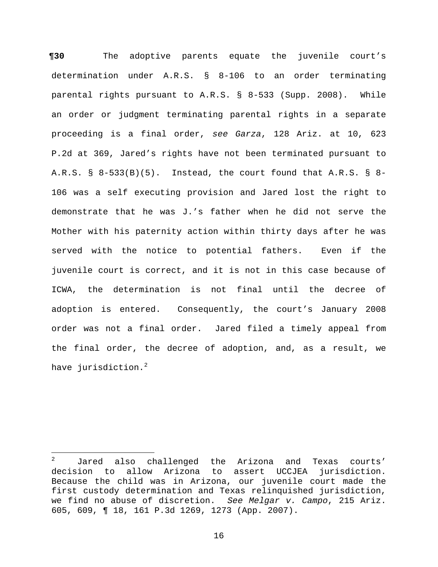**¶30** The adoptive parents equate the juvenile court's determination under A.R.S. § 8-106 to an order terminating parental rights pursuant to A.R.S. § 8-533 (Supp. 2008). While an order or judgment terminating parental rights in a separate proceeding is a final order, *see Garza*, 128 Ariz. at 10, 623 P.2d at 369, Jared's rights have not been terminated pursuant to A.R.S. § 8-533(B)(5). Instead, the court found that A.R.S. § 8- 106 was a self executing provision and Jared lost the right to demonstrate that he was J.'s father when he did not serve the Mother with his paternity action within thirty days after he was served with the notice to potential fathers. Even if the juvenile court is correct, and it is not in this case because of ICWA, the determination is not final until the decree of adoption is entered. Consequently, the court's January 2008 order was not a final order. Jared filed a timely appeal from the final order, the decree of adoption, and, as a result, we have jurisdiction.<sup>2</sup>

 $\frac{1}{2}$  Jared also challenged the Arizona and Texas courts' decision to allow Arizona to assert UCCJEA jurisdiction. Because the child was in Arizona, our juvenile court made the first custody determination and Texas relinquished jurisdiction, we find no abuse of discretion. *See Melgar v. Campo*, 215 Ariz. 605, 609, ¶ 18, 161 P.3d 1269, 1273 (App. 2007).